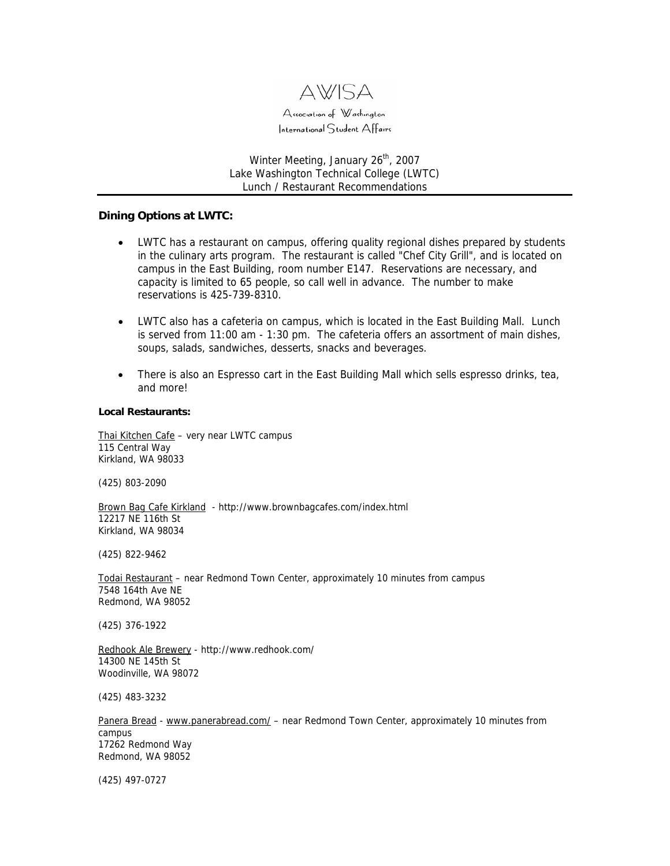

Winter Meeting, January 26<sup>th</sup>, 2007 Lake Washington Technical College (LWTC) Lunch / Restaurant Recommendations

## **Dining Options at LWTC:**

- LWTC has a restaurant on campus, offering quality regional dishes prepared by students in the culinary arts program. The restaurant is called "Chef City Grill", and is located on campus in the East Building, room number E147. Reservations are necessary, and capacity is limited to 65 people, so call well in advance. The number to make reservations is 425-739-8310.
- LWTC also has a cafeteria on campus, which is located in the East Building Mall. Lunch is served from 11:00 am - 1:30 pm. The cafeteria offers an assortment of main dishes, soups, salads, sandwiches, desserts, snacks and beverages.
- There is also an Espresso cart in the East Building Mall which sells espresso drinks, tea, and more!

## **Local Restaurants:**

[Thai Kitchen Cafe](http://www.yellowpages.com/sp/yellowpages/getypclick.jsp?searchId=1&linkType=1&q=thai+kitchen&id=69303278&impressionId=2&zp=&listingId=69303278&st=WA&ci=kirkland) - very near LWTC campus 115 Central Way Kirkland, WA 98033

(425) 803-2090

[Brown Bag Cafe Kirkland](http://www.yellowpages.com/sp/yellowpages/getypclick.jsp?searchId=2&linkType=1&q=brown+bag&id=1668503&impressionId=7&zp=&listingId=1668503&st=WA&ci=kirkland) - http://www.brownbagcafes.com/index.html 12217 NE 116th St Kirkland, WA 98034

(425) 822-9462

[Todai Restaurant](http://www.yellowpages.com/sp/yellowpages/getypclick.jsp?searchId=1&linkType=1&q=todai&id=1693151&impressionId=1&zp=&listingId=1693151&st=WA&ci=redmond) – near Redmond Town Center, approximately 10 minutes from campus 7548 164th Ave NE Redmond, WA 98052

(425) 376-1922

[Redhook Ale Brewery](http://www.yellowpages.com/sp/yellowpages/getypclick.jsp?searchId=1&linkType=1&q=redhook+brewery&id=61872692&impressionId=1&zp=&listingId=61872692&st=WA&ci=woodinville) - http://www.redhook.com/ 14300 NE 145th St Woodinville, WA 98072

(425) 483-3232

[Panera Bread](http://www.yellowpages.com/sp/yellowpages/getypclick.jsp?searchId=1&linkType=1&q=panera+bread&id=69270081&impressionId=0&zp=&listingId=69270081&st=WA&ci=Redmond) - [www.panerabread.com/](http://www.panerabread.com/) - near Redmond Town Center, approximately 10 minutes from campus 17262 Redmond Way Redmond, WA 98052

(425) 497-0727